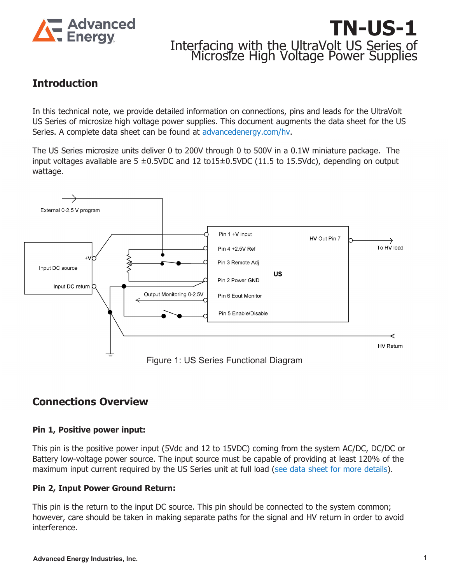

# **TN-US-1** Interfacing with the UltraVolt US Series of Microsize High Voltage Power Supplies

# **Introduction**

In this technical note, we provide detailed information on connections, pins and leads for the UltraVolt US Series of microsize high voltage power supplies. This document augments the data sheet for the US Series. A complete data sheet can be found at [advancedenergy.com/hv](https://www.advancedenergy.com/hv).

The US Series microsize units deliver 0 to 200V through 0 to 500V in a 0.1W miniature package. The input voltages available are 5  $\pm$ 0.5VDC and 12 to15 $\pm$ 0.5VDC (11.5 to 15.5Vdc), depending on output wattage.



# **Connections Overview**

#### **Pin 1, Positive power input:**

This pin is the positive power input (5Vdc and 12 to 15VDC) coming from the system AC/DC, DC/DC or Battery low-voltage power source. The input source must be capable of providing at least 120% of the maximum input current required by the US Series unit at full load [\(see data sheet for more details](https://www.advancedenergy.com/globalassets/resources-root/data-sheets/ultravolt-us-series-data-sheet.pdf)).

# **Pin 2, Input Power Ground Return:**

This pin is the return to the input DC source. This pin should be connected to the system common; however, care should be taken in making separate paths for the signal and HV return in order to avoid interference.